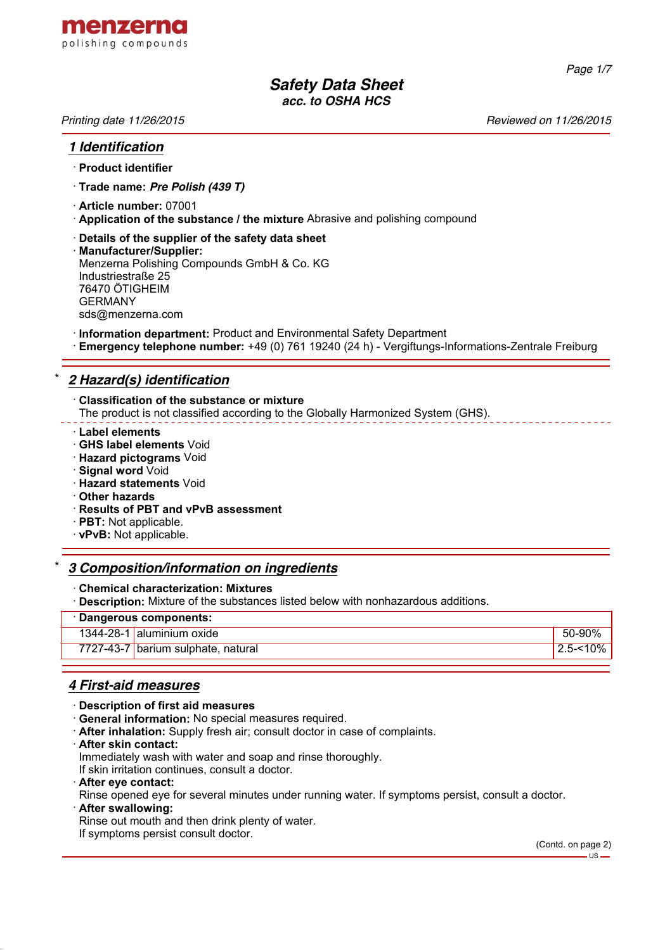

*Page 1/7*

# *Safety Data Sheet acc. to OSHA HCS*

*Printing date 11/26/2015 Reviewed on 11/26/2015*

#### *1 Identification*

#### · **Product identifier**

- · **Trade name:** *Pre Polish (439 T)*
- · **Article number:** 07001
- · **Application of the substance / the mixture** Abrasive and polishing compound
- · **Details of the supplier of the safety data sheet**
- · **Manufacturer/Supplier:** Menzerna Polishing Compounds GmbH & Co. KG Industriestraße 25 76470 ÖTIGHEIM GERMANY sds@menzerna.com
- · **Information department:** Product and Environmental Safety Department
- · **Emergency telephone number:** +49 (0) 761 19240 (24 h) Vergiftungs-Informations-Zentrale Freiburg

## \* *2 Hazard(s) identification*

- · **Classification of the substance or mixture**
- The product is not classified according to the Globally Harmonized System (GHS).
- · **Label elements**
- · **GHS label elements** Void
- · **Hazard pictograms** Void
- · **Signal word** Void
- · **Hazard statements** Void
- · **Other hazards**
- · **Results of PBT and vPvB assessment**
- · **PBT:** Not applicable.
- · **vPvB:** Not applicable.

#### \* *3 Composition/information on ingredients*

#### · **Chemical characterization: Mixtures**

**Description:** Mixture of the substances listed below with nonhazardous additions.

#### · **Dangerous components:**

| 1344-28-1 aluminium oxide          | 50-90%                 |
|------------------------------------|------------------------|
| 7727-43-7 barium sulphate, natural | $^{\prime}$ 2.5-<10% . |
|                                    |                        |

## *4 First-aid measures*

- · **Description of first aid measures**
- · **General information:** No special measures required.
- · **After inhalation:** Supply fresh air; consult doctor in case of complaints.
- · **After skin contact:**

Immediately wash with water and soap and rinse thoroughly.

- If skin irritation continues, consult a doctor.
- · **After eye contact:**
- Rinse opened eye for several minutes under running water. If symptoms persist, consult a doctor.
- · **After swallowing:**

Rinse out mouth and then drink plenty of water.

If symptoms persist consult doctor.

(Contd. on page 2)  $-$ us -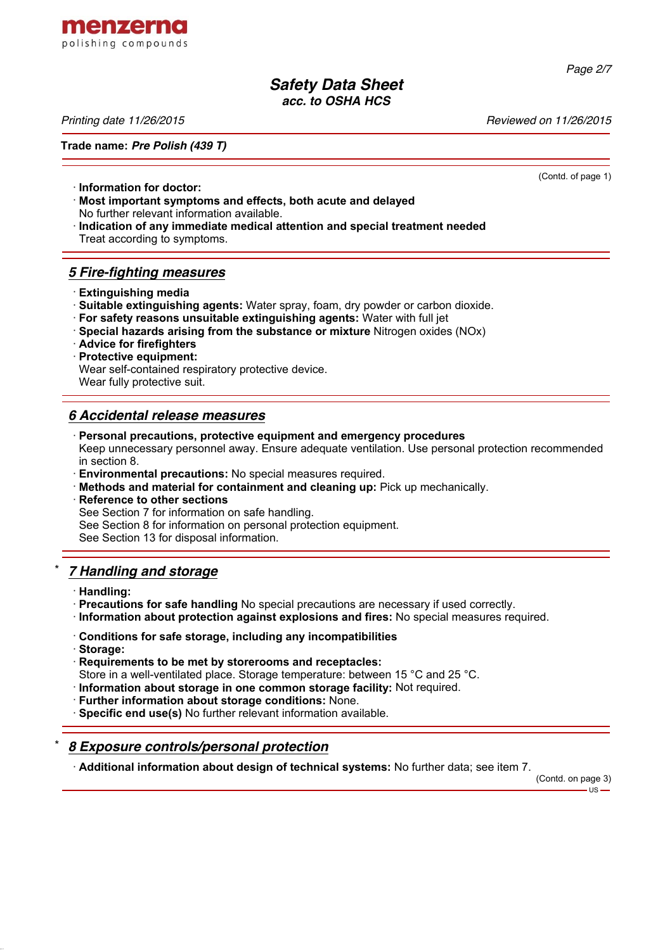

*Page 2/7*

## *Safety Data Sheet acc. to OSHA HCS*

*Printing date 11/26/2015 Reviewed on 11/26/2015*

**Trade name:** *Pre Polish (439 T)*

(Contd. of page 1)

- · **Information for doctor:**
- · **Most important symptoms and effects, both acute and delayed** No further relevant information available.
- 
- · **Indication of any immediate medical attention and special treatment needed** Treat according to symptoms.

## *5 Fire-fighting measures*

- · **Extinguishing media**
- · **Suitable extinguishing agents:** Water spray, foam, dry powder or carbon dioxide.
- · **For safety reasons unsuitable extinguishing agents:** Water with full jet
- · **Special hazards arising from the substance or mixture** Nitrogen oxides (NOx)
- · **Advice for firefighters**
- · **Protective equipment:** Wear self-contained respiratory protective device. Wear fully protective suit.

## *6 Accidental release measures*

- · **Personal precautions, protective equipment and emergency procedures** Keep unnecessary personnel away. Ensure adequate ventilation. Use personal protection recommended in section 8.
- · **Environmental precautions:** No special measures required.
- · **Methods and material for containment and cleaning up:** Pick up mechanically.
- **Reference to other sections** See Section 7 for information on safe handling. See Section 8 for information on personal protection equipment. See Section 13 for disposal information.

## \* *7 Handling and storage*

- · **Handling:**
- · **Precautions for safe handling** No special precautions are necessary if used correctly.
- · **Information about protection against explosions and fires:** No special measures required.
- · **Conditions for safe storage, including any incompatibilities**
- · **Storage:**
- · **Requirements to be met by storerooms and receptacles:**
- Store in a well-ventilated place. Storage temperature: between 15 °C and 25 °C.
- · **Information about storage in one common storage facility:** Not required.
- · **Further information about storage conditions:** None.
- · **Specific end use(s)** No further relevant information available.

## \* *8 Exposure controls/personal protection*

· **Additional information about design of technical systems:** No further data; see item 7.

(Contd. on page 3)

 $-11S -$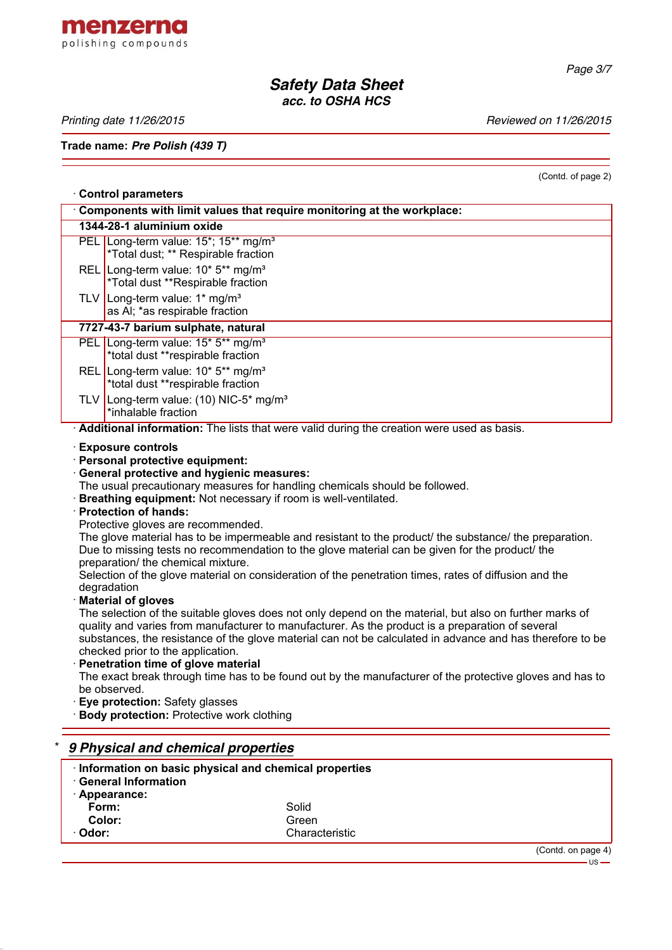

*Page 3/7*

## *Safety Data Sheet acc. to OSHA HCS*

Printing date 11/26/2015 **Printing date 11/26/2015** 

**Trade name:** *Pre Polish (439 T)*

(Contd. of page 2)

|                                                                        | <b>Control parameters</b>                                                                                                                                                                                                                                                                                                                                                                                                                                                                                                                                                                                                                                                                                                                                                                                                                                                                                                                                                                                                                                                                                                                                                                                                                                                                           |  |  |  |  |  |
|------------------------------------------------------------------------|-----------------------------------------------------------------------------------------------------------------------------------------------------------------------------------------------------------------------------------------------------------------------------------------------------------------------------------------------------------------------------------------------------------------------------------------------------------------------------------------------------------------------------------------------------------------------------------------------------------------------------------------------------------------------------------------------------------------------------------------------------------------------------------------------------------------------------------------------------------------------------------------------------------------------------------------------------------------------------------------------------------------------------------------------------------------------------------------------------------------------------------------------------------------------------------------------------------------------------------------------------------------------------------------------------|--|--|--|--|--|
| Components with limit values that require monitoring at the workplace: |                                                                                                                                                                                                                                                                                                                                                                                                                                                                                                                                                                                                                                                                                                                                                                                                                                                                                                                                                                                                                                                                                                                                                                                                                                                                                                     |  |  |  |  |  |
|                                                                        | 1344-28-1 aluminium oxide                                                                                                                                                                                                                                                                                                                                                                                                                                                                                                                                                                                                                                                                                                                                                                                                                                                                                                                                                                                                                                                                                                                                                                                                                                                                           |  |  |  |  |  |
|                                                                        | PEL Long-term value: 15*; 15** mg/m <sup>3</sup><br>*Total dust; ** Respirable fraction                                                                                                                                                                                                                                                                                                                                                                                                                                                                                                                                                                                                                                                                                                                                                                                                                                                                                                                                                                                                                                                                                                                                                                                                             |  |  |  |  |  |
|                                                                        | REL Long-term value: 10* 5** mg/m <sup>3</sup><br>*Total dust **Respirable fraction                                                                                                                                                                                                                                                                                                                                                                                                                                                                                                                                                                                                                                                                                                                                                                                                                                                                                                                                                                                                                                                                                                                                                                                                                 |  |  |  |  |  |
|                                                                        | TLV Long-term value: $1*$ mg/m <sup>3</sup><br>as AI; *as respirable fraction                                                                                                                                                                                                                                                                                                                                                                                                                                                                                                                                                                                                                                                                                                                                                                                                                                                                                                                                                                                                                                                                                                                                                                                                                       |  |  |  |  |  |
|                                                                        | 7727-43-7 barium sulphate, natural                                                                                                                                                                                                                                                                                                                                                                                                                                                                                                                                                                                                                                                                                                                                                                                                                                                                                                                                                                                                                                                                                                                                                                                                                                                                  |  |  |  |  |  |
|                                                                        | PEL Long-term value: 15* 5** mg/m <sup>3</sup><br>*total dust **respirable fraction                                                                                                                                                                                                                                                                                                                                                                                                                                                                                                                                                                                                                                                                                                                                                                                                                                                                                                                                                                                                                                                                                                                                                                                                                 |  |  |  |  |  |
|                                                                        | REL Long-term value: 10* 5** mg/m <sup>3</sup><br>*total dust **respirable fraction                                                                                                                                                                                                                                                                                                                                                                                                                                                                                                                                                                                                                                                                                                                                                                                                                                                                                                                                                                                                                                                                                                                                                                                                                 |  |  |  |  |  |
|                                                                        | TLV Long-term value: (10) NIC-5* mg/m <sup>3</sup><br>*inhalable fraction                                                                                                                                                                                                                                                                                                                                                                                                                                                                                                                                                                                                                                                                                                                                                                                                                                                                                                                                                                                                                                                                                                                                                                                                                           |  |  |  |  |  |
|                                                                        | Additional information: The lists that were valid during the creation were used as basis.                                                                                                                                                                                                                                                                                                                                                                                                                                                                                                                                                                                                                                                                                                                                                                                                                                                                                                                                                                                                                                                                                                                                                                                                           |  |  |  |  |  |
|                                                                        | <b>General protective and hygienic measures:</b><br>The usual precautionary measures for handling chemicals should be followed.<br>Breathing equipment: Not necessary if room is well-ventilated.<br>· Protection of hands:<br>Protective gloves are recommended.<br>The glove material has to be impermeable and resistant to the product/ the substance/ the preparation.<br>Due to missing tests no recommendation to the glove material can be given for the product/ the<br>preparation/ the chemical mixture.<br>Selection of the glove material on consideration of the penetration times, rates of diffusion and the<br>degradation<br><b>Material of gloves</b><br>The selection of the suitable gloves does not only depend on the material, but also on further marks of<br>quality and varies from manufacturer to manufacturer. As the product is a preparation of several<br>substances, the resistance of the glove material can not be calculated in advance and has therefore to be<br>checked prior to the application.<br>· Penetration time of glove material<br>The exact break through time has to be found out by the manufacturer of the protective gloves and has to<br>be observed.<br>Eye protection: Safety glasses<br><b>Body protection: Protective work clothing</b> |  |  |  |  |  |
| 9 Physical and chemical properties                                     |                                                                                                                                                                                                                                                                                                                                                                                                                                                                                                                                                                                                                                                                                                                                                                                                                                                                                                                                                                                                                                                                                                                                                                                                                                                                                                     |  |  |  |  |  |
|                                                                        | Information on basic physical and chemical properties<br><b>General Information</b><br>· Appearance:<br>Form:<br>Solid                                                                                                                                                                                                                                                                                                                                                                                                                                                                                                                                                                                                                                                                                                                                                                                                                                                                                                                                                                                                                                                                                                                                                                              |  |  |  |  |  |

**Color:** Green<br>
Color: Character Character Character Character Character Character Character Character Character Character Character Character Character Character Character Character Character Character Character Character · **Odor:** Characteristic

> (Contd. on page 4)  $-$  US  $-$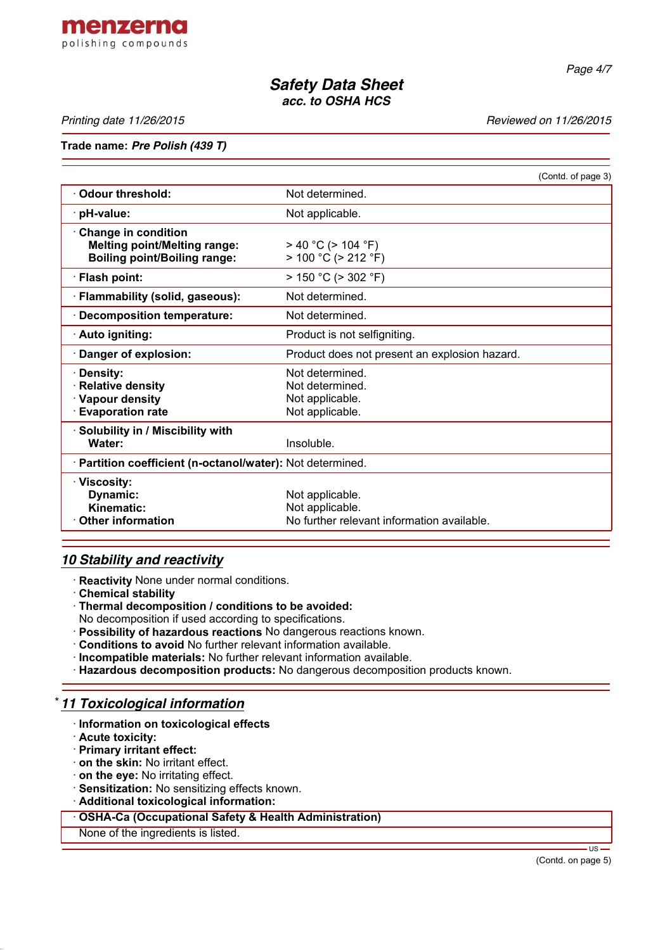

*Page 4/7*

# *Safety Data Sheet acc. to OSHA HCS*

*Printing date 11/26/2015 Reviewed on 11/26/2015*

### **Trade name:** *Pre Polish (439 T)*

|                                                                                                           | (Contd. of page 3)                                                               |  |  |  |
|-----------------------------------------------------------------------------------------------------------|----------------------------------------------------------------------------------|--|--|--|
| <b>Odour threshold:</b>                                                                                   | Not determined.                                                                  |  |  |  |
| · pH-value:                                                                                               | Not applicable.                                                                  |  |  |  |
| $\cdot$ Change in condition<br><b>Melting point/Melting range:</b><br><b>Boiling point/Boiling range:</b> | $> 40 °C$ ( $> 104 °F$ )<br>$> 100 °C$ ( $> 212 °F$ )                            |  |  |  |
| · Flash point:                                                                                            | $> 150 °C$ ( $> 302 °F$ )                                                        |  |  |  |
| · Flammability (solid, gaseous):                                                                          | Not determined.                                                                  |  |  |  |
| · Decomposition temperature:                                                                              | Not determined.                                                                  |  |  |  |
| · Auto igniting:                                                                                          | Product is not selfigniting.                                                     |  |  |  |
| · Danger of explosion:                                                                                    | Product does not present an explosion hazard.                                    |  |  |  |
| · Density:<br>· Relative density<br>· Vapour density<br><b>Evaporation rate</b>                           | Not determined.<br>Not determined.<br>Not applicable.<br>Not applicable.         |  |  |  |
| · Solubility in / Miscibility with<br>Water:                                                              | Insoluble.                                                                       |  |  |  |
| · Partition coefficient (n-octanol/water): Not determined.                                                |                                                                                  |  |  |  |
| · Viscosity:<br>Dynamic:<br>Kinematic:<br>Other information                                               | Not applicable.<br>Not applicable.<br>No further relevant information available. |  |  |  |

## *10 Stability and reactivity*

· **Reactivity** None under normal conditions.

- · **Chemical stability**
- · **Thermal decomposition / conditions to be avoided:**

No decomposition if used according to specifications.

- · **Possibility of hazardous reactions** No dangerous reactions known.
- · **Conditions to avoid** No further relevant information available.
- · **Incompatible materials:** No further relevant information available.
- · **Hazardous decomposition products:** No dangerous decomposition products known.

## \* *11 Toxicological information*

- · **Information on toxicological effects**
- · **Acute toxicity:**
- · **Primary irritant effect:**
- · **on the skin:** No irritant effect.
- · **on the eye:** No irritating effect.
- · **Sensitization:** No sensitizing effects known.
- · **Additional toxicological information:**

· **OSHA-Ca (Occupational Safety & Health Administration)**

#### None of the ingredients is listed.

(Contd. on page 5)

US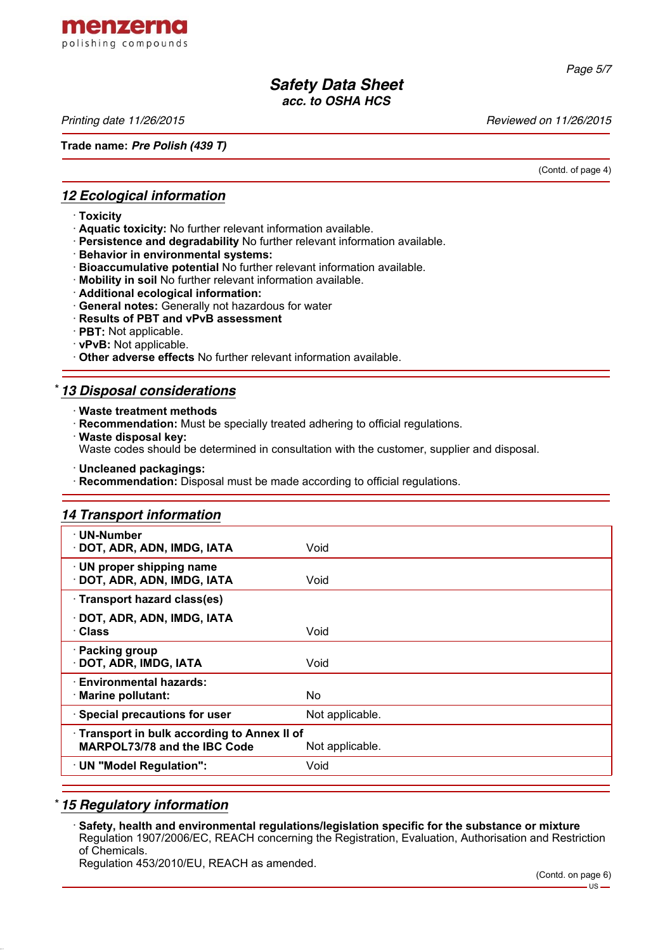

*Page 5/7*

## *Safety Data Sheet acc. to OSHA HCS*

*Printing date 11/26/2015 Reviewed on 11/26/2015*

**Trade name:** *Pre Polish (439 T)*

(Contd. of page 4)

## *12 Ecological information*

- · **Toxicity**
- · **Aquatic toxicity:** No further relevant information available.
- · **Persistence and degradability** No further relevant information available.
- · **Behavior in environmental systems:**
- · **Bioaccumulative potential** No further relevant information available.
- · **Mobility in soil** No further relevant information available.
- · **Additional ecological information:**
- · **General notes:** Generally not hazardous for water
- · **Results of PBT and vPvB assessment**
- · **PBT:** Not applicable.
- · **vPvB:** Not applicable.
- · **Other adverse effects** No further relevant information available.

## \* *13 Disposal considerations*

- · **Waste treatment methods**
- · **Recommendation:** Must be specially treated adhering to official regulations.
- · **Waste disposal key:**
- Waste codes should be determined in consultation with the customer, supplier and disposal.
- · **Uncleaned packagings:**
- · **Recommendation:** Disposal must be made according to official regulations.

# *14 Transport information*

| · UN-Number<br>· DOT, ADR, ADN, IMDG, IATA                                                           | Void            |  |  |
|------------------------------------------------------------------------------------------------------|-----------------|--|--|
| · UN proper shipping name<br>DOT, ADR, ADN, IMDG, IATA                                               | Void            |  |  |
| · Transport hazard class(es)                                                                         |                 |  |  |
| · DOT, ADR, ADN, IMDG, IATA<br>· Class                                                               | Void            |  |  |
| · Packing group<br>· DOT, ADR, IMDG, IATA                                                            | Void            |  |  |
| · Environmental hazards:<br>· Marine pollutant:                                                      | No.             |  |  |
| · Special precautions for user                                                                       | Not applicable. |  |  |
| Transport in bulk according to Annex II of<br><b>MARPOL73/78 and the IBC Code</b><br>Not applicable. |                 |  |  |
| · UN "Model Regulation":                                                                             | Void            |  |  |
|                                                                                                      |                 |  |  |

## \* *15 Regulatory information*

· **Safety, health and environmental regulations/legislation specific for the substance or mixture** Regulation 1907/2006/EC, REACH concerning the Registration, Evaluation, Authorisation and Restriction of Chemicals.

Regulation 453/2010/EU, REACH as amended.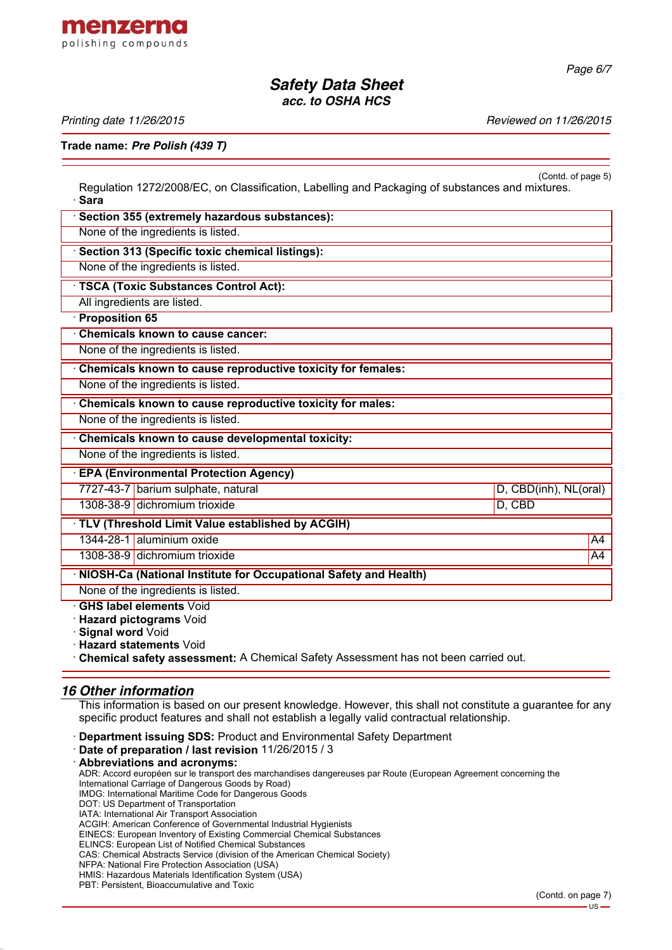

*Page 6/7*

## *Safety Data Sheet acc. to OSHA HCS*

*Printing date 11/26/2015 Reviewed on 11/26/2015*

## **Trade name:** *Pre Polish (439 T)*

(Contd. of page 5) Regulation 1272/2008/EC, on Classification, Labelling and Packaging of substances and mixtures. · **Sara**

| Section 355 (extremely hazardous substances):                      |                       |  |  |
|--------------------------------------------------------------------|-----------------------|--|--|
| None of the ingredients is listed.                                 |                       |  |  |
| Section 313 (Specific toxic chemical listings):                    |                       |  |  |
| None of the ingredients is listed.                                 |                       |  |  |
| · TSCA (Toxic Substances Control Act):                             |                       |  |  |
| All ingredients are listed.                                        |                       |  |  |
| · Proposition 65                                                   |                       |  |  |
| Chemicals known to cause cancer:                                   |                       |  |  |
| None of the ingredients is listed.                                 |                       |  |  |
| Chemicals known to cause reproductive toxicity for females:        |                       |  |  |
| None of the ingredients is listed.                                 |                       |  |  |
| Chemicals known to cause reproductive toxicity for males:          |                       |  |  |
| None of the ingredients is listed.                                 |                       |  |  |
| Chemicals known to cause developmental toxicity:                   |                       |  |  |
| None of the ingredients is listed.                                 |                       |  |  |
| <b>EPA (Environmental Protection Agency)</b>                       |                       |  |  |
| 7727-43-7 barium sulphate, natural                                 | D, CBD(inh), NL(oral) |  |  |
| 1308-38-9 dichromium trioxide                                      | D, CBD                |  |  |
| · TLV (Threshold Limit Value established by ACGIH)                 |                       |  |  |
| 1344-28-1 aluminium oxide                                          | A4                    |  |  |
| 1308-38-9 dichromium trioxide                                      | A4                    |  |  |
| · NIOSH-Ca (National Institute for Occupational Safety and Health) |                       |  |  |
| None of the ingredients is listed.                                 |                       |  |  |
| <b>GHS label elements Void</b>                                     |                       |  |  |

· **Hazard pictograms** Void

· **Signal word** Void

· **Hazard statements** Void

· **Chemical safety assessment:** A Chemical Safety Assessment has not been carried out.

#### *16 Other information*

This information is based on our present knowledge. However, this shall not constitute a guarantee for any specific product features and shall not establish a legally valid contractual relationship.

· **Department issuing SDS:** Product and Environmental Safety Department

· **Date of preparation / last revision** 11/26/2015 / 3

· **Abbreviations and acronyms:** ADR: Accord européen sur le transport des marchandises dangereuses par Route (European Agreement concerning the International Carriage of Dangerous Goods by Road) IMDG: International Maritime Code for Dangerous Goods DOT: US Department of Transportation IATA: International Air Transport Association ACGIH: American Conference of Governmental Industrial Hygienists EINECS: European Inventory of Existing Commercial Chemical Substances ELINCS: European List of Notified Chemical Substances CAS: Chemical Abstracts Service (division of the American Chemical Society) NFPA: National Fire Protection Association (USA) HMIS: Hazardous Materials Identification System (USA) PBT: Persistent, Bioaccumulative and Toxic